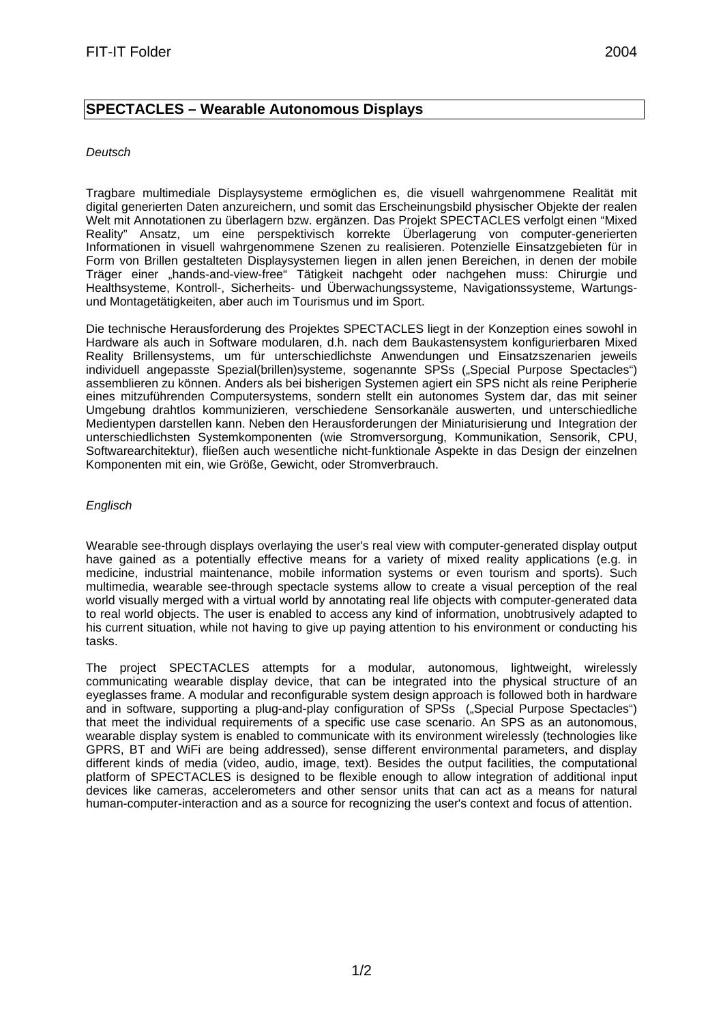## **SPECTACLES – Wearable Autonomous Displays**

## *Deutsch*

Tragbare multimediale Displaysysteme ermöglichen es, die visuell wahrgenommene Realität mit digital generierten Daten anzureichern, und somit das Erscheinungsbild physischer Objekte der realen Welt mit Annotationen zu überlagern bzw. ergänzen. Das Projekt SPECTACLES verfolgt einen "Mixed Reality" Ansatz, um eine perspektivisch korrekte Überlagerung von computer-generierten Informationen in visuell wahrgenommene Szenen zu realisieren. Potenzielle Einsatzgebieten für in Form von Brillen gestalteten Displaysystemen liegen in allen jenen Bereichen, in denen der mobile Träger einer "hands-and-view-free" Tätigkeit nachgeht oder nachgehen muss: Chirurgie und Healthsysteme, Kontroll-, Sicherheits- und Überwachungssysteme, Navigationssysteme, Wartungsund Montagetätigkeiten, aber auch im Tourismus und im Sport.

Die technische Herausforderung des Projektes SPECTACLES liegt in der Konzeption eines sowohl in Hardware als auch in Software modularen, d.h. nach dem Baukastensystem konfigurierbaren Mixed Reality Brillensystems, um für unterschiedlichste Anwendungen und Einsatzszenarien jeweils individuell angepasste Spezial(brillen)systeme, sogenannte SPSs ("Special Purpose Spectacles") assemblieren zu können. Anders als bei bisherigen Systemen agiert ein SPS nicht als reine Peripherie eines mitzuführenden Computersystems, sondern stellt ein autonomes System dar, das mit seiner Umgebung drahtlos kommunizieren, verschiedene Sensorkanäle auswerten, und unterschiedliche Medientypen darstellen kann. Neben den Herausforderungen der Miniaturisierung und Integration der unterschiedlichsten Systemkomponenten (wie Stromversorgung, Kommunikation, Sensorik, CPU, Softwarearchitektur), fließen auch wesentliche nicht-funktionale Aspekte in das Design der einzelnen Komponenten mit ein, wie Größe, Gewicht, oder Stromverbrauch.

## *Englisch*

Wearable see-through displays overlaying the user's real view with computer-generated display output have gained as a potentially effective means for a variety of mixed reality applications (e.g. in medicine, industrial maintenance, mobile information systems or even tourism and sports). Such multimedia, wearable see-through spectacle systems allow to create a visual perception of the real world visually merged with a virtual world by annotating real life objects with computer-generated data to real world objects. The user is enabled to access any kind of information, unobtrusively adapted to his current situation, while not having to give up paying attention to his environment or conducting his tasks.

The project SPECTACLES attempts for a modular, autonomous, lightweight, wirelessly communicating wearable display device, that can be integrated into the physical structure of an eyeglasses frame. A modular and reconfigurable system design approach is followed both in hardware and in software, supporting a plug-and-play configuration of SPSs ("Special Purpose Spectacles") that meet the individual requirements of a specific use case scenario. An SPS as an autonomous, wearable display system is enabled to communicate with its environment wirelessly (technologies like GPRS, BT and WiFi are being addressed), sense different environmental parameters, and display different kinds of media (video, audio, image, text). Besides the output facilities, the computational platform of SPECTACLES is designed to be flexible enough to allow integration of additional input devices like cameras, accelerometers and other sensor units that can act as a means for natural human-computer-interaction and as a source for recognizing the user's context and focus of attention.